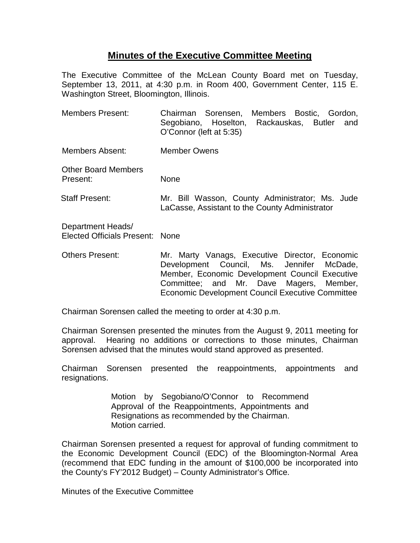## **Minutes of the Executive Committee Meeting**

The Executive Committee of the McLean County Board met on Tuesday, September 13, 2011, at 4:30 p.m. in Room 400, Government Center, 115 E. Washington Street, Bloomington, Illinois.

| <b>Members Present:</b>                              | Chairman Sorensen, Members Bostic, Gordon,<br>Segobiano, Hoselton, Rackauskas, Butler and<br>O'Connor (left at 5:35)                          |
|------------------------------------------------------|-----------------------------------------------------------------------------------------------------------------------------------------------|
| Members Absent:                                      | <b>Member Owens</b>                                                                                                                           |
| <b>Other Board Members</b><br>Present:               | None                                                                                                                                          |
| <b>Staff Present:</b>                                | Mr. Bill Wasson, County Administrator; Ms. Jude<br>LaCasse, Assistant to the County Administrator                                             |
| Department Heads/<br>Elected Officials Present: None |                                                                                                                                               |
| <b>Others Present:</b>                               | Mr. Marty Vanags, Executive Director, Economic<br>Development Council, Ms. Jennifer McDade,<br>Member, Economic Development Council Executive |

approval. Hearing no additions or corrections to those minutes, Chairman Sorensen advised that the minutes would stand approved as presented.

Chairman Sorensen called the meeting to order at 4:30 p.m.

Chairman Sorensen presented the reappointments, appointments and resignations.

Chairman Sorensen presented the minutes from the August 9, 2011 meeting for

Committee; and Mr. Dave Magers, Member, Economic Development Council Executive Committee

Motion by Segobiano/O'Connor to Recommend Approval of the Reappointments, Appointments and Resignations as recommended by the Chairman. Motion carried.

Chairman Sorensen presented a request for approval of funding commitment to the Economic Development Council (EDC) of the Bloomington-Normal Area (recommend that EDC funding in the amount of \$100,000 be incorporated into the County's FY'2012 Budget) – County Administrator's Office.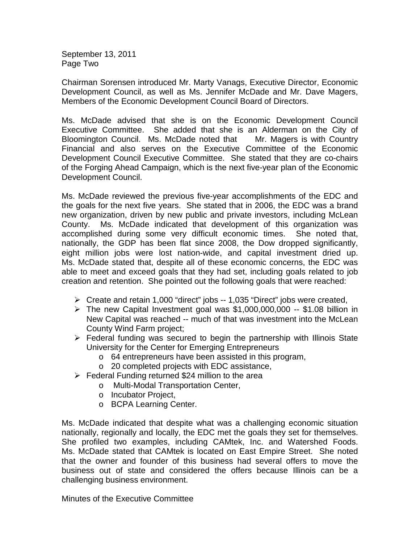September 13, 2011 Page Two

Chairman Sorensen introduced Mr. Marty Vanags, Executive Director, Economic Development Council, as well as Ms. Jennifer McDade and Mr. Dave Magers, Members of the Economic Development Council Board of Directors.

Ms. McDade advised that she is on the Economic Development Council Executive Committee. She added that she is an Alderman on the City of Bloomington Council. Ms. McDade noted that Mr. Magers is with Country Financial and also serves on the Executive Committee of the Economic Development Council Executive Committee. She stated that they are co-chairs of the Forging Ahead Campaign, which is the next five-year plan of the Economic Development Council.

Ms. McDade reviewed the previous five-year accomplishments of the EDC and the goals for the next five years. She stated that in 2006, the EDC was a brand new organization, driven by new public and private investors, including McLean County. Ms. McDade indicated that development of this organization was accomplished during some very difficult economic times. She noted that, nationally, the GDP has been flat since 2008, the Dow dropped significantly, eight million jobs were lost nation-wide, and capital investment dried up. Ms. McDade stated that, despite all of these economic concerns, the EDC was able to meet and exceed goals that they had set, including goals related to job creation and retention. She pointed out the following goals that were reached:

- Create and retain 1,000 "direct" jobs -- 1,035 "Direct" jobs were created,
- $\triangleright$  The new Capital Investment goal was \$1,000,000,000 -- \$1.08 billion in New Capital was reached -- much of that was investment into the McLean County Wind Farm project;
- $\triangleright$  Federal funding was secured to begin the partnership with Illinois State University for the Center for Emerging Entrepreneurs
	- o 64 entrepreneurs have been assisted in this program,
	- o 20 completed projects with EDC assistance,
- $\triangleright$  Federal Funding returned \$24 million to the area
	- o Multi-Modal Transportation Center,
	- o Incubator Project,
	- o BCPA Learning Center.

Ms. McDade indicated that despite what was a challenging economic situation nationally, regionally and locally, the EDC met the goals they set for themselves. She profiled two examples, including CAMtek, Inc. and Watershed Foods. Ms. McDade stated that CAMtek is located on East Empire Street. She noted that the owner and founder of this business had several offers to move the business out of state and considered the offers because Illinois can be a challenging business environment.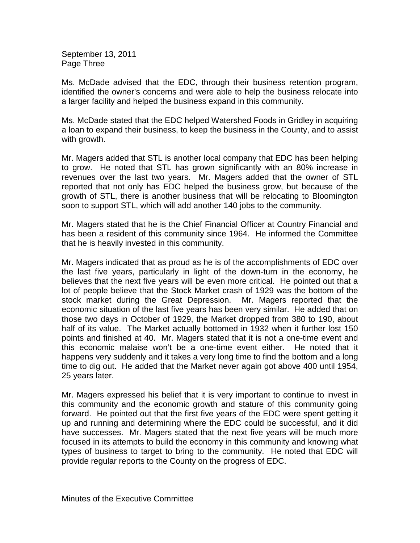September 13, 2011 Page Three

Ms. McDade advised that the EDC, through their business retention program, identified the owner's concerns and were able to help the business relocate into a larger facility and helped the business expand in this community.

Ms. McDade stated that the EDC helped Watershed Foods in Gridley in acquiring a loan to expand their business, to keep the business in the County, and to assist with growth.

Mr. Magers added that STL is another local company that EDC has been helping to grow. He noted that STL has grown significantly with an 80% increase in revenues over the last two years. Mr. Magers added that the owner of STL reported that not only has EDC helped the business grow, but because of the growth of STL, there is another business that will be relocating to Bloomington soon to support STL, which will add another 140 jobs to the community.

Mr. Magers stated that he is the Chief Financial Officer at Country Financial and has been a resident of this community since 1964. He informed the Committee that he is heavily invested in this community.

Mr. Magers indicated that as proud as he is of the accomplishments of EDC over the last five years, particularly in light of the down-turn in the economy, he believes that the next five years will be even more critical. He pointed out that a lot of people believe that the Stock Market crash of 1929 was the bottom of the stock market during the Great Depression. Mr. Magers reported that the economic situation of the last five years has been very similar. He added that on those two days in October of 1929, the Market dropped from 380 to 190, about half of its value. The Market actually bottomed in 1932 when it further lost 150 points and finished at 40. Mr. Magers stated that it is not a one-time event and this economic malaise won't be a one-time event either. He noted that it happens very suddenly and it takes a very long time to find the bottom and a long time to dig out. He added that the Market never again got above 400 until 1954, 25 years later.

Mr. Magers expressed his belief that it is very important to continue to invest in this community and the economic growth and stature of this community going forward. He pointed out that the first five years of the EDC were spent getting it up and running and determining where the EDC could be successful, and it did have successes. Mr. Magers stated that the next five years will be much more focused in its attempts to build the economy in this community and knowing what types of business to target to bring to the community. He noted that EDC will provide regular reports to the County on the progress of EDC.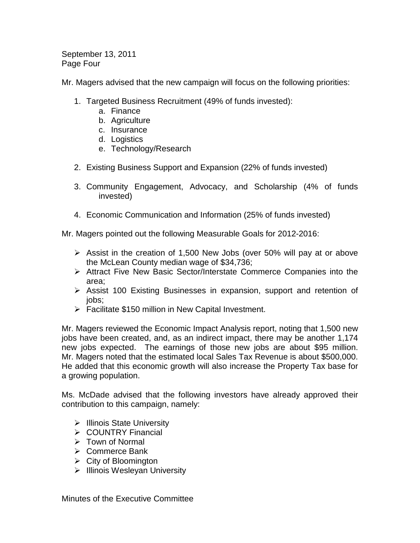September 13, 2011 Page Four

Mr. Magers advised that the new campaign will focus on the following priorities:

- 1. Targeted Business Recruitment (49% of funds invested):
	- a. Finance
	- b. Agriculture
	- c. Insurance
	- d. Logistics
	- e. Technology/Research
- 2. Existing Business Support and Expansion (22% of funds invested)
- 3. Community Engagement, Advocacy, and Scholarship (4% of funds invested)
- 4. Economic Communication and Information (25% of funds invested)

Mr. Magers pointed out the following Measurable Goals for 2012-2016:

- $\triangleright$  Assist in the creation of 1,500 New Jobs (over 50% will pay at or above the McLean County median wage of \$34,736;
- Attract Five New Basic Sector/Interstate Commerce Companies into the area;
- Assist 100 Existing Businesses in expansion, support and retention of jobs;
- $\triangleright$  Facilitate \$150 million in New Capital Investment.

Mr. Magers reviewed the Economic Impact Analysis report, noting that 1,500 new jobs have been created, and, as an indirect impact, there may be another 1,174 new jobs expected. The earnings of those new jobs are about \$95 million. Mr. Magers noted that the estimated local Sales Tax Revenue is about \$500,000. He added that this economic growth will also increase the Property Tax base for a growing population.

Ms. McDade advised that the following investors have already approved their contribution to this campaign, namely:

- $\triangleright$  Illinois State University
- COUNTRY Financial
- $\triangleright$  Town of Normal
- **► Commerce Bank**
- $\triangleright$  City of Bloomington
- $\triangleright$  Illinois Wesleyan University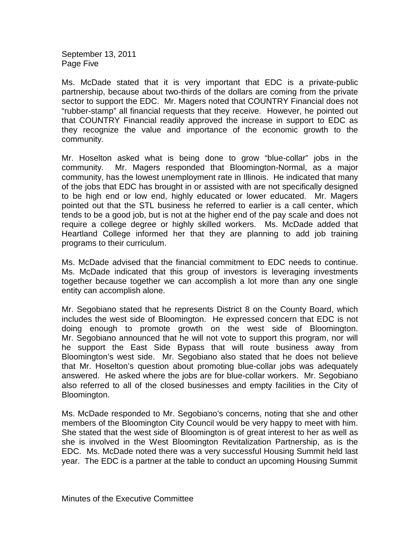September 13, 2011 Page Five

Ms. McDade stated that it is very important that EDC is a private-public partnership, because about two-thirds of the dollars are coming from the private sector to support the EDC. Mr. Magers noted that COUNTRY Financial does not "rubber-stamp" all financial requests that they receive. However, he pointed out that COUNTRY Financial readily approved the increase in support to EDC as they recognize the value and importance of the economic growth to the community.

Mr. Hoselton asked what is being done to grow "blue-collar" jobs in the community. Mr. Magers responded that Bloomington-Normal, as a major community, has the lowest unemployment rate in Illinois. He indicated that many of the jobs that EDC has brought in or assisted with are not specifically designed to be high end or low end, highly educated or lower educated. Mr. Magers pointed out that the STL business he referred to earlier is a call center, which tends to be a good job, but is not at the higher end of the pay scale and does not require a college degree or highly skilled workers. Ms. McDade added that Heartland College informed her that they are planning to add job training programs to their curriculum.

Ms. McDade advised that the financial commitment to EDC needs to continue. Ms. McDade indicated that this group of investors is leveraging investments together because together we can accomplish a lot more than any one single entity can accomplish alone.

Mr. Segobiano stated that he represents District 8 on the County Board, which includes the west side of Bloomington. He expressed concern that EDC is not doing enough to promote growth on the west side of Bloomington. Mr. Segobiano announced that he will not vote to support this program, nor will he support the East Side Bypass that will route business away from Bloomington's west side. Mr. Segobiano also stated that he does not believe that Mr. Hoselton's question about promoting blue-collar jobs was adequately answered. He asked where the jobs are for blue-collar workers. Mr. Segobiano also referred to all of the closed businesses and empty facilities in the City of Bloomington.

Ms. McDade responded to Mr. Segobiano's concerns, noting that she and other members of the Bloomington City Council would be very happy to meet with him. She stated that the west side of Bloomington is of great interest to her as well as she is involved in the West Bloomington Revitalization Partnership, as is the EDC. Ms. McDade noted there was a very successful Housing Summit held last year. The EDC is a partner at the table to conduct an upcoming Housing Summit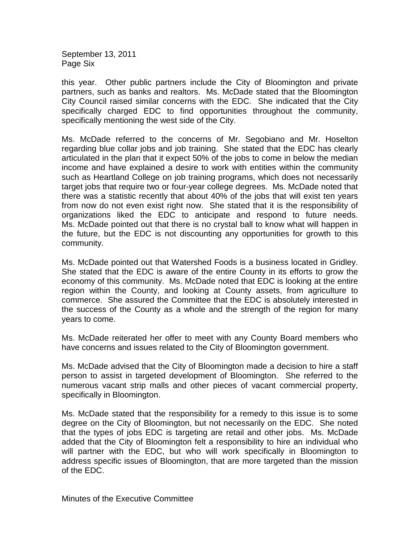September 13, 2011 Page Six

this year. Other public partners include the City of Bloomington and private partners, such as banks and realtors. Ms. McDade stated that the Bloomington City Council raised similar concerns with the EDC. She indicated that the City specifically charged EDC to find opportunities throughout the community, specifically mentioning the west side of the City.

Ms. McDade referred to the concerns of Mr. Segobiano and Mr. Hoselton regarding blue collar jobs and job training. She stated that the EDC has clearly articulated in the plan that it expect 50% of the jobs to come in below the median income and have explained a desire to work with entities within the community such as Heartland College on job training programs, which does not necessarily target jobs that require two or four-year college degrees. Ms. McDade noted that there was a statistic recently that about 40% of the jobs that will exist ten years from now do not even exist right now. She stated that it is the responsibility of organizations liked the EDC to anticipate and respond to future needs. Ms. McDade pointed out that there is no crystal ball to know what will happen in the future, but the EDC is not discounting any opportunities for growth to this community.

Ms. McDade pointed out that Watershed Foods is a business located in Gridley. She stated that the EDC is aware of the entire County in its efforts to grow the economy of this community. Ms. McDade noted that EDC is looking at the entire region within the County, and looking at County assets, from agriculture to commerce. She assured the Committee that the EDC is absolutely interested in the success of the County as a whole and the strength of the region for many years to come.

Ms. McDade reiterated her offer to meet with any County Board members who have concerns and issues related to the City of Bloomington government.

Ms. McDade advised that the City of Bloomington made a decision to hire a staff person to assist in targeted development of Bloomington. She referred to the numerous vacant strip malls and other pieces of vacant commercial property, specifically in Bloomington.

Ms. McDade stated that the responsibility for a remedy to this issue is to some degree on the City of Bloomington, but not necessarily on the EDC. She noted that the types of jobs EDC is targeting are retail and other jobs. Ms. McDade added that the City of Bloomington felt a responsibility to hire an individual who will partner with the EDC, but who will work specifically in Bloomington to address specific issues of Bloomington, that are more targeted than the mission of the EDC.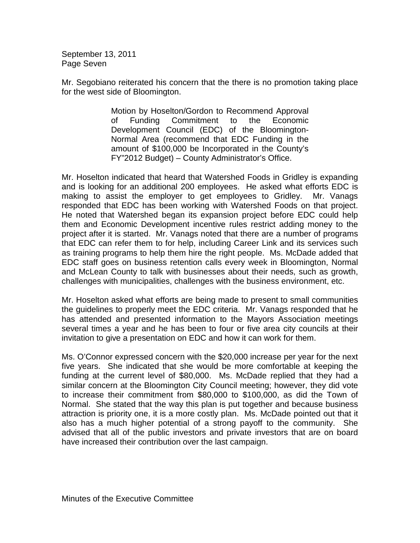September 13, 2011 Page Seven

Mr. Segobiano reiterated his concern that the there is no promotion taking place for the west side of Bloomington.

> Motion by Hoselton/Gordon to Recommend Approval of Funding Commitment to the Economic Development Council (EDC) of the Bloomington-Normal Area (recommend that EDC Funding in the amount of \$100,000 be Incorporated in the County's FY"2012 Budget) – County Administrator's Office.

Mr. Hoselton indicated that heard that Watershed Foods in Gridley is expanding and is looking for an additional 200 employees. He asked what efforts EDC is making to assist the employer to get employees to Gridley. Mr. Vanags responded that EDC has been working with Watershed Foods on that project. He noted that Watershed began its expansion project before EDC could help them and Economic Development incentive rules restrict adding money to the project after it is started. Mr. Vanags noted that there are a number of programs that EDC can refer them to for help, including Career Link and its services such as training programs to help them hire the right people. Ms. McDade added that EDC staff goes on business retention calls every week in Bloomington, Normal and McLean County to talk with businesses about their needs, such as growth, challenges with municipalities, challenges with the business environment, etc.

Mr. Hoselton asked what efforts are being made to present to small communities the guidelines to properly meet the EDC criteria. Mr. Vanags responded that he has attended and presented information to the Mayors Association meetings several times a year and he has been to four or five area city councils at their invitation to give a presentation on EDC and how it can work for them.

Ms. O'Connor expressed concern with the \$20,000 increase per year for the next five years. She indicated that she would be more comfortable at keeping the funding at the current level of \$80,000. Ms. McDade replied that they had a similar concern at the Bloomington City Council meeting; however, they did vote to increase their commitment from \$80,000 to \$100,000, as did the Town of Normal. She stated that the way this plan is put together and because business attraction is priority one, it is a more costly plan. Ms. McDade pointed out that it also has a much higher potential of a strong payoff to the community. She advised that all of the public investors and private investors that are on board have increased their contribution over the last campaign.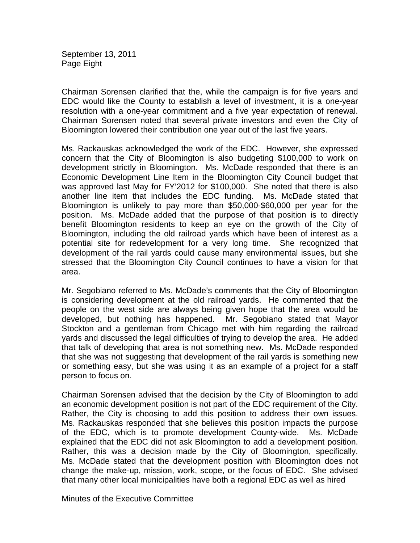September 13, 2011 Page Eight

Chairman Sorensen clarified that the, while the campaign is for five years and EDC would like the County to establish a level of investment, it is a one-year resolution with a one-year commitment and a five year expectation of renewal. Chairman Sorensen noted that several private investors and even the City of Bloomington lowered their contribution one year out of the last five years.

Ms. Rackauskas acknowledged the work of the EDC. However, she expressed concern that the City of Bloomington is also budgeting \$100,000 to work on development strictly in Bloomington. Ms. McDade responded that there is an Economic Development Line Item in the Bloomington City Council budget that was approved last May for FY'2012 for \$100,000. She noted that there is also another line item that includes the EDC funding. Ms. McDade stated that Bloomington is unlikely to pay more than \$50,000-\$60,000 per year for the position. Ms. McDade added that the purpose of that position is to directly benefit Bloomington residents to keep an eye on the growth of the City of Bloomington, including the old railroad yards which have been of interest as a potential site for redevelopment for a very long time. She recognized that development of the rail yards could cause many environmental issues, but she stressed that the Bloomington City Council continues to have a vision for that area.

Mr. Segobiano referred to Ms. McDade's comments that the City of Bloomington is considering development at the old railroad yards. He commented that the people on the west side are always being given hope that the area would be developed, but nothing has happened. Mr. Segobiano stated that Mayor Stockton and a gentleman from Chicago met with him regarding the railroad yards and discussed the legal difficulties of trying to develop the area. He added that talk of developing that area is not something new. Ms. McDade responded that she was not suggesting that development of the rail yards is something new or something easy, but she was using it as an example of a project for a staff person to focus on.

Chairman Sorensen advised that the decision by the City of Bloomington to add an economic development position is not part of the EDC requirement of the City. Rather, the City is choosing to add this position to address their own issues. Ms. Rackauskas responded that she believes this position impacts the purpose of the EDC, which is to promote development County-wide. Ms. McDade explained that the EDC did not ask Bloomington to add a development position. Rather, this was a decision made by the City of Bloomington, specifically. Ms. McDade stated that the development position with Bloomington does not change the make-up, mission, work, scope, or the focus of EDC. She advised that many other local municipalities have both a regional EDC as well as hired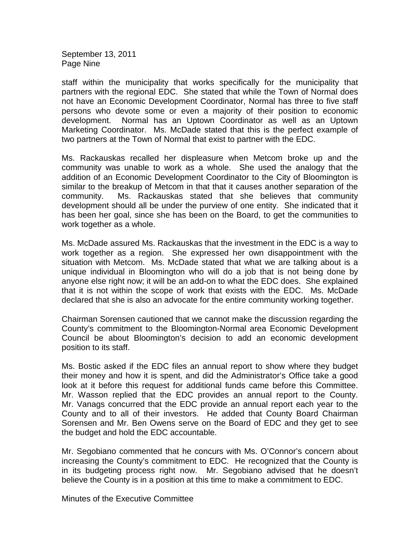September 13, 2011 Page Nine

staff within the municipality that works specifically for the municipality that partners with the regional EDC. She stated that while the Town of Normal does not have an Economic Development Coordinator, Normal has three to five staff persons who devote some or even a majority of their position to economic development. Normal has an Uptown Coordinator as well as an Uptown Marketing Coordinator. Ms. McDade stated that this is the perfect example of two partners at the Town of Normal that exist to partner with the EDC.

Ms. Rackauskas recalled her displeasure when Metcom broke up and the community was unable to work as a whole. She used the analogy that the addition of an Economic Development Coordinator to the City of Bloomington is similar to the breakup of Metcom in that that it causes another separation of the community. Ms. Rackauskas stated that she believes that community development should all be under the purview of one entity. She indicated that it has been her goal, since she has been on the Board, to get the communities to work together as a whole.

Ms. McDade assured Ms. Rackauskas that the investment in the EDC is a way to work together as a region. She expressed her own disappointment with the situation with Metcom. Ms. McDade stated that what we are talking about is a unique individual in Bloomington who will do a job that is not being done by anyone else right now; it will be an add-on to what the EDC does. She explained that it is not within the scope of work that exists with the EDC. Ms. McDade declared that she is also an advocate for the entire community working together.

Chairman Sorensen cautioned that we cannot make the discussion regarding the County's commitment to the Bloomington-Normal area Economic Development Council be about Bloomington's decision to add an economic development position to its staff.

Ms. Bostic asked if the EDC files an annual report to show where they budget their money and how it is spent, and did the Administrator's Office take a good look at it before this request for additional funds came before this Committee. Mr. Wasson replied that the EDC provides an annual report to the County. Mr. Vanags concurred that the EDC provide an annual report each year to the County and to all of their investors. He added that County Board Chairman Sorensen and Mr. Ben Owens serve on the Board of EDC and they get to see the budget and hold the EDC accountable.

Mr. Segobiano commented that he concurs with Ms. O'Connor's concern about increasing the County's commitment to EDC. He recognized that the County is in its budgeting process right now. Mr. Segobiano advised that he doesn't believe the County is in a position at this time to make a commitment to EDC.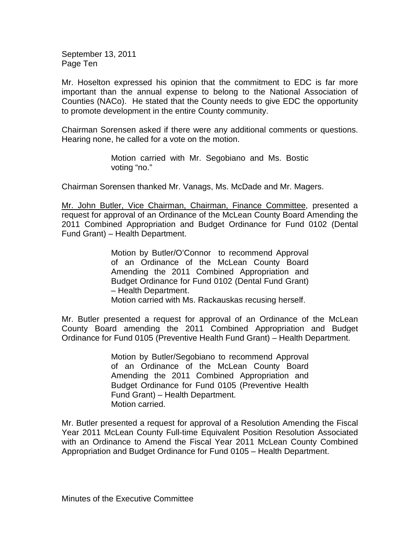September 13, 2011 Page Ten

Mr. Hoselton expressed his opinion that the commitment to EDC is far more important than the annual expense to belong to the National Association of Counties (NACo). He stated that the County needs to give EDC the opportunity to promote development in the entire County community.

Chairman Sorensen asked if there were any additional comments or questions. Hearing none, he called for a vote on the motion.

> Motion carried with Mr. Segobiano and Ms. Bostic voting "no."

Chairman Sorensen thanked Mr. Vanags, Ms. McDade and Mr. Magers.

Mr. John Butler, Vice Chairman, Chairman, Finance Committee, presented a request for approval of an Ordinance of the McLean County Board Amending the 2011 Combined Appropriation and Budget Ordinance for Fund 0102 (Dental Fund Grant) – Health Department.

> Motion by Butler/O'Connor to recommend Approval of an Ordinance of the McLean County Board Amending the 2011 Combined Appropriation and Budget Ordinance for Fund 0102 (Dental Fund Grant) – Health Department. Motion carried with Ms. Rackauskas recusing herself.

Mr. Butler presented a request for approval of an Ordinance of the McLean County Board amending the 2011 Combined Appropriation and Budget Ordinance for Fund 0105 (Preventive Health Fund Grant) – Health Department.

> Motion by Butler/Segobiano to recommend Approval of an Ordinance of the McLean County Board Amending the 2011 Combined Appropriation and Budget Ordinance for Fund 0105 (Preventive Health Fund Grant) – Health Department. Motion carried.

Mr. Butler presented a request for approval of a Resolution Amending the Fiscal Year 2011 McLean County Full-time Equivalent Position Resolution Associated with an Ordinance to Amend the Fiscal Year 2011 McLean County Combined Appropriation and Budget Ordinance for Fund 0105 – Health Department.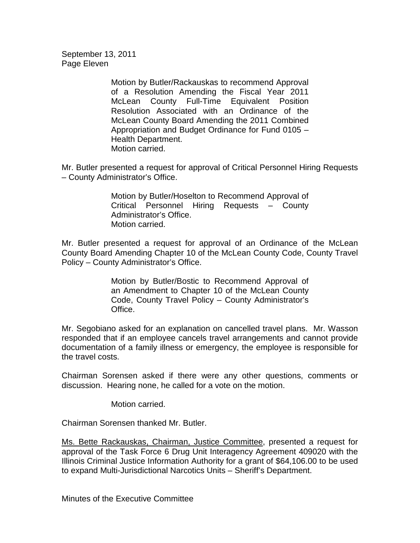September 13, 2011 Page Eleven

> Motion by Butler/Rackauskas to recommend Approval of a Resolution Amending the Fiscal Year 2011 McLean County Full-Time Equivalent Position Resolution Associated with an Ordinance of the McLean County Board Amending the 2011 Combined Appropriation and Budget Ordinance for Fund 0105 – Health Department. Motion carried.

Mr. Butler presented a request for approval of Critical Personnel Hiring Requests – County Administrator's Office.

> Motion by Butler/Hoselton to Recommend Approval of Critical Personnel Hiring Requests – County Administrator's Office. Motion carried.

Mr. Butler presented a request for approval of an Ordinance of the McLean County Board Amending Chapter 10 of the McLean County Code, County Travel Policy – County Administrator's Office.

> Motion by Butler/Bostic to Recommend Approval of an Amendment to Chapter 10 of the McLean County Code, County Travel Policy – County Administrator's Office.

Mr. Segobiano asked for an explanation on cancelled travel plans. Mr. Wasson responded that if an employee cancels travel arrangements and cannot provide documentation of a family illness or emergency, the employee is responsible for the travel costs.

Chairman Sorensen asked if there were any other questions, comments or discussion. Hearing none, he called for a vote on the motion.

Motion carried.

Chairman Sorensen thanked Mr. Butler.

Ms. Bette Rackauskas, Chairman, Justice Committee, presented a request for approval of the Task Force 6 Drug Unit Interagency Agreement 409020 with the Illinois Criminal Justice Information Authority for a grant of \$64,106.00 to be used to expand Multi-Jurisdictional Narcotics Units – Sheriff's Department.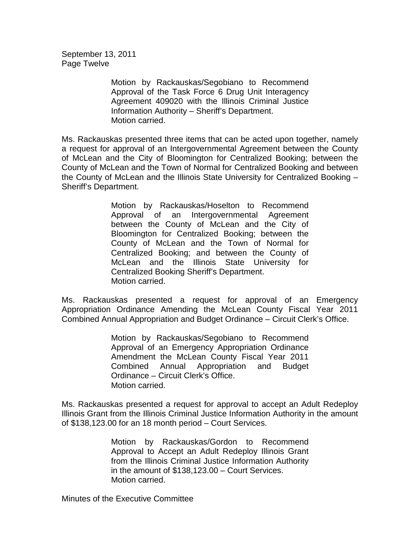September 13, 2011 Page Twelve

> Motion by Rackauskas/Segobiano to Recommend Approval of the Task Force 6 Drug Unit Interagency Agreement 409020 with the Illinois Criminal Justice Information Authority – Sheriff's Department. Motion carried.

Ms. Rackauskas presented three items that can be acted upon together, namely a request for approval of an Intergovernmental Agreement between the County of McLean and the City of Bloomington for Centralized Booking; between the County of McLean and the Town of Normal for Centralized Booking and between the County of McLean and the Illinois State University for Centralized Booking – Sheriff's Department.

> Motion by Rackauskas/Hoselton to Recommend Approval of an Intergovernmental Agreement between the County of McLean and the City of Bloomington for Centralized Booking; between the County of McLean and the Town of Normal for Centralized Booking; and between the County of McLean and the Illinois State University for Centralized Booking Sheriff's Department. Motion carried.

Ms. Rackauskas presented a request for approval of an Emergency Appropriation Ordinance Amending the McLean County Fiscal Year 2011 Combined Annual Appropriation and Budget Ordinance – Circuit Clerk's Office.

> Motion by Rackauskas/Segobiano to Recommend Approval of an Emergency Appropriation Ordinance Amendment the McLean County Fiscal Year 2011 Combined Annual Appropriation and Budget Ordinance – Circuit Clerk's Office. Motion carried.

Ms. Rackauskas presented a request for approval to accept an Adult Redeploy Illinois Grant from the Illinois Criminal Justice Information Authority in the amount of \$138,123.00 for an 18 month period – Court Services.

> Motion by Rackauskas/Gordon to Recommend Approval to Accept an Adult Redeploy Illinois Grant from the Illinois Criminal Justice Information Authority in the amount of \$138,123.00 – Court Services. Motion carried.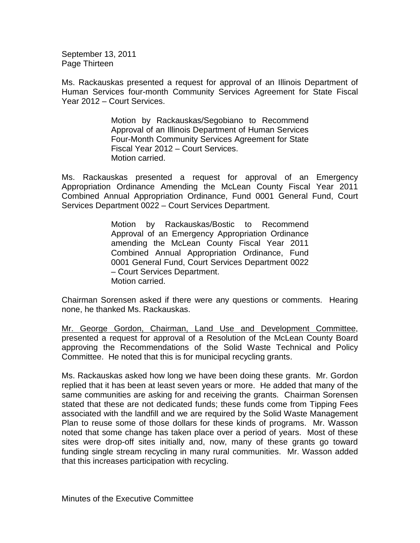September 13, 2011 Page Thirteen

Ms. Rackauskas presented a request for approval of an Illinois Department of Human Services four-month Community Services Agreement for State Fiscal Year 2012 – Court Services.

> Motion by Rackauskas/Segobiano to Recommend Approval of an Illinois Department of Human Services Four-Month Community Services Agreement for State Fiscal Year 2012 – Court Services. Motion carried.

Ms. Rackauskas presented a request for approval of an Emergency Appropriation Ordinance Amending the McLean County Fiscal Year 2011 Combined Annual Appropriation Ordinance, Fund 0001 General Fund, Court Services Department 0022 – Court Services Department.

> Motion by Rackauskas/Bostic to Recommend Approval of an Emergency Appropriation Ordinance amending the McLean County Fiscal Year 2011 Combined Annual Appropriation Ordinance, Fund 0001 General Fund, Court Services Department 0022 – Court Services Department. Motion carried.

Chairman Sorensen asked if there were any questions or comments. Hearing none, he thanked Ms. Rackauskas.

Mr. George Gordon, Chairman, Land Use and Development Committee, presented a request for approval of a Resolution of the McLean County Board approving the Recommendations of the Solid Waste Technical and Policy Committee. He noted that this is for municipal recycling grants.

Ms. Rackauskas asked how long we have been doing these grants. Mr. Gordon replied that it has been at least seven years or more. He added that many of the same communities are asking for and receiving the grants. Chairman Sorensen stated that these are not dedicated funds; these funds come from Tipping Fees associated with the landfill and we are required by the Solid Waste Management Plan to reuse some of those dollars for these kinds of programs. Mr. Wasson noted that some change has taken place over a period of years. Most of these sites were drop-off sites initially and, now, many of these grants go toward funding single stream recycling in many rural communities. Mr. Wasson added that this increases participation with recycling.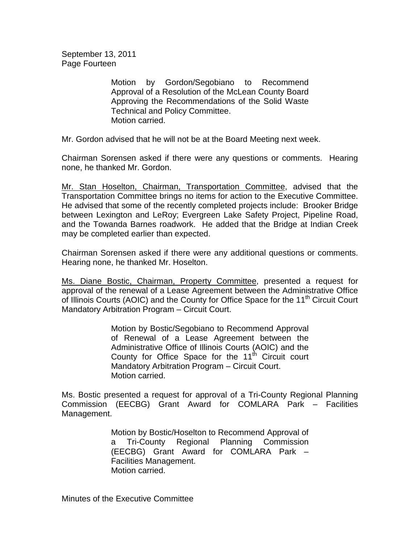September 13, 2011 Page Fourteen

> Motion by Gordon/Segobiano to Recommend Approval of a Resolution of the McLean County Board Approving the Recommendations of the Solid Waste Technical and Policy Committee. Motion carried.

Mr. Gordon advised that he will not be at the Board Meeting next week.

Chairman Sorensen asked if there were any questions or comments. Hearing none, he thanked Mr. Gordon.

Mr. Stan Hoselton, Chairman, Transportation Committee, advised that the Transportation Committee brings no items for action to the Executive Committee. He advised that some of the recently completed projects include: Brooker Bridge between Lexington and LeRoy; Evergreen Lake Safety Project, Pipeline Road, and the Towanda Barnes roadwork. He added that the Bridge at Indian Creek may be completed earlier than expected.

Chairman Sorensen asked if there were any additional questions or comments. Hearing none, he thanked Mr. Hoselton.

Ms. Diane Bostic, Chairman, Property Committee, presented a request for approval of the renewal of a Lease Agreement between the Administrative Office of Illinois Courts (AOIC) and the County for Office Space for the 11<sup>th</sup> Circuit Court Mandatory Arbitration Program – Circuit Court.

> Motion by Bostic/Segobiano to Recommend Approval of Renewal of a Lease Agreement between the Administrative Office of Illinois Courts (AOIC) and the County for Office Space for the  $11<sup>th</sup>$  Circuit court Mandatory Arbitration Program – Circuit Court. Motion carried.

Ms. Bostic presented a request for approval of a Tri-County Regional Planning Commission (EECBG) Grant Award for COMLARA Park – Facilities Management.

> Motion by Bostic/Hoselton to Recommend Approval of a Tri-County Regional Planning Commission (EECBG) Grant Award for COMLARA Park – Facilities Management. Motion carried.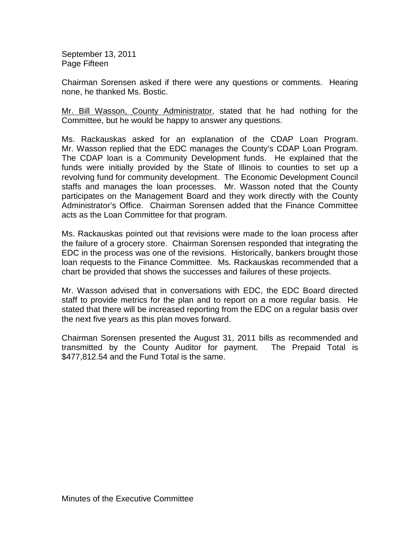September 13, 2011 Page Fifteen

Chairman Sorensen asked if there were any questions or comments. Hearing none, he thanked Ms. Bostic.

Mr. Bill Wasson, County Administrator, stated that he had nothing for the Committee, but he would be happy to answer any questions.

Ms. Rackauskas asked for an explanation of the CDAP Loan Program. Mr. Wasson replied that the EDC manages the County's CDAP Loan Program. The CDAP loan is a Community Development funds. He explained that the funds were initially provided by the State of Illinois to counties to set up a revolving fund for community development. The Economic Development Council staffs and manages the loan processes. Mr. Wasson noted that the County participates on the Management Board and they work directly with the County Administrator's Office. Chairman Sorensen added that the Finance Committee acts as the Loan Committee for that program.

Ms. Rackauskas pointed out that revisions were made to the loan process after the failure of a grocery store. Chairman Sorensen responded that integrating the EDC in the process was one of the revisions. Historically, bankers brought those loan requests to the Finance Committee. Ms. Rackauskas recommended that a chart be provided that shows the successes and failures of these projects.

Mr. Wasson advised that in conversations with EDC, the EDC Board directed staff to provide metrics for the plan and to report on a more regular basis. He stated that there will be increased reporting from the EDC on a regular basis over the next five years as this plan moves forward.

Chairman Sorensen presented the August 31, 2011 bills as recommended and transmitted by the County Auditor for payment. The Prepaid Total is \$477,812.54 and the Fund Total is the same.